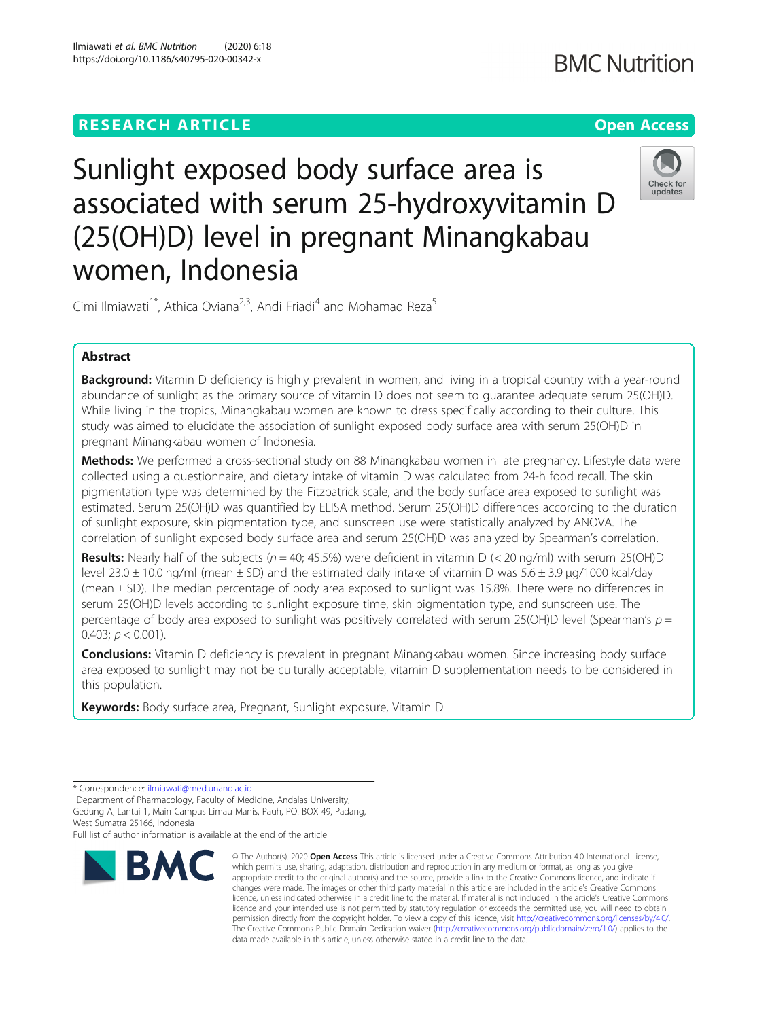# **RESEARCH ARTICLE Example 2014 12:30 The Contract of Contract ACCESS**



Sunlight exposed body surface area is associated with serum 25-hydroxyvitamin D (25(OH)D) level in pregnant Minangkabau women, Indonesia

Cimi Ilmiawati<sup>1\*</sup>, Athica Oviana<sup>2,3</sup>, Andi Friadi<sup>4</sup> and Mohamad Reza<sup>5</sup>

# Abstract

Background: Vitamin D deficiency is highly prevalent in women, and living in a tropical country with a year-round abundance of sunlight as the primary source of vitamin D does not seem to guarantee adequate serum 25(OH)D. While living in the tropics, Minangkabau women are known to dress specifically according to their culture. This study was aimed to elucidate the association of sunlight exposed body surface area with serum 25(OH)D in pregnant Minangkabau women of Indonesia.

Methods: We performed a cross-sectional study on 88 Minangkabau women in late pregnancy. Lifestyle data were collected using a questionnaire, and dietary intake of vitamin D was calculated from 24-h food recall. The skin pigmentation type was determined by the Fitzpatrick scale, and the body surface area exposed to sunlight was estimated. Serum 25(OH)D was quantified by ELISA method. Serum 25(OH)D differences according to the duration of sunlight exposure, skin pigmentation type, and sunscreen use were statistically analyzed by ANOVA. The correlation of sunlight exposed body surface area and serum 25(OH)D was analyzed by Spearman's correlation.

**Results:** Nearly half of the subjects ( $n = 40$ ; 45.5%) were deficient in vitamin D (< 20 ng/ml) with serum 25(OH)D level 23.0  $\pm$  10.0 ng/ml (mean  $\pm$  SD) and the estimated daily intake of vitamin D was 5.6  $\pm$  3.9 µg/1000 kcal/day (mean ± SD). The median percentage of body area exposed to sunlight was 15.8%. There were no differences in serum 25(OH)D levels according to sunlight exposure time, skin pigmentation type, and sunscreen use. The percentage of body area exposed to sunlight was positively correlated with serum 25(OH)D level (Spearman's  $\rho =$ 0.403;  $p < 0.001$ ).

**Conclusions:** Vitamin D deficiency is prevalent in pregnant Minangkabau women. Since increasing body surface area exposed to sunlight may not be culturally acceptable, vitamin D supplementation needs to be considered in this population.

Keywords: Body surface area, Pregnant, Sunlight exposure, Vitamin D

Full list of author information is available at the end of the article

# **BMC**

<sup>\*</sup> Correspondence: [ilmiawati@med.unand.ac.id](mailto:ilmiawati@med.unand.ac.id) <sup>1</sup>

<sup>&</sup>lt;sup>1</sup>Department of Pharmacology, Faculty of Medicine, Andalas University, Gedung A, Lantai 1, Main Campus Limau Manis, Pauh, PO. BOX 49, Padang, West Sumatra 25166, Indonesia

<sup>©</sup> The Author(s), 2020 **Open Access** This article is licensed under a Creative Commons Attribution 4.0 International License, which permits use, sharing, adaptation, distribution and reproduction in any medium or format, as long as you give appropriate credit to the original author(s) and the source, provide a link to the Creative Commons licence, and indicate if changes were made. The images or other third party material in this article are included in the article's Creative Commons licence, unless indicated otherwise in a credit line to the material. If material is not included in the article's Creative Commons licence and your intended use is not permitted by statutory regulation or exceeds the permitted use, you will need to obtain permission directly from the copyright holder. To view a copy of this licence, visit [http://creativecommons.org/licenses/by/4.0/.](http://creativecommons.org/licenses/by/4.0/) The Creative Commons Public Domain Dedication waiver [\(http://creativecommons.org/publicdomain/zero/1.0/](http://creativecommons.org/publicdomain/zero/1.0/)) applies to the data made available in this article, unless otherwise stated in a credit line to the data.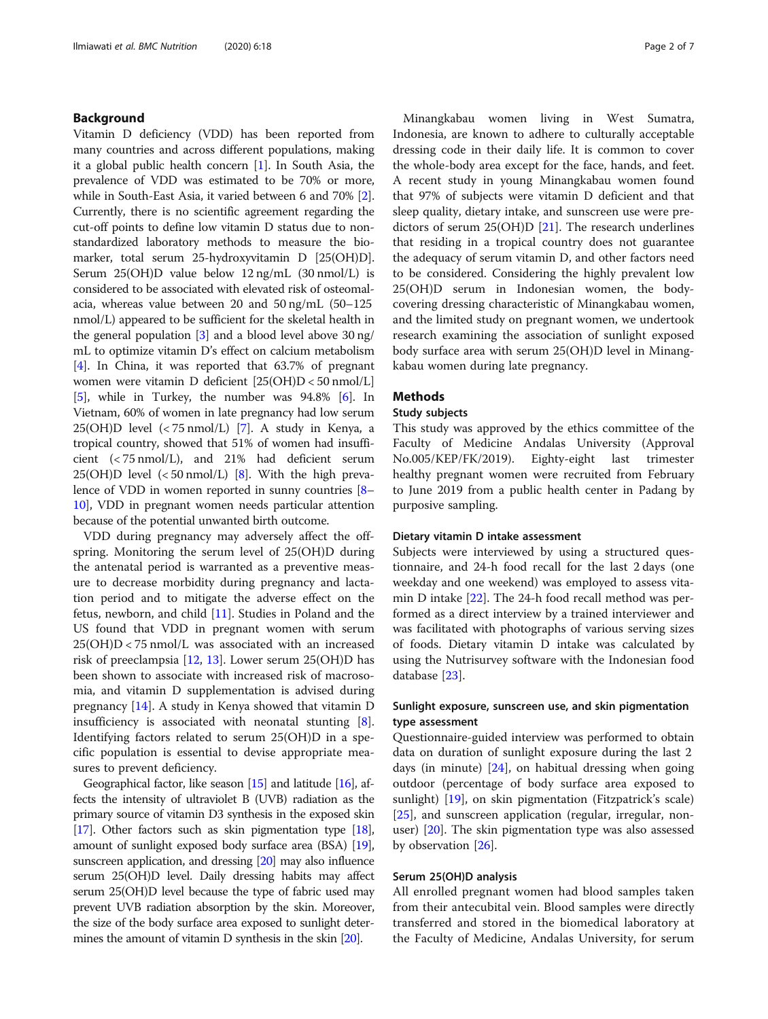## Background

Vitamin D deficiency (VDD) has been reported from many countries and across different populations, making it a global public health concern [[1\]](#page-5-0). In South Asia, the prevalence of VDD was estimated to be 70% or more, while in South-East Asia, it varied between 6 and 70% [[2](#page-5-0)]. Currently, there is no scientific agreement regarding the cut-off points to define low vitamin D status due to nonstandardized laboratory methods to measure the biomarker, total serum 25-hydroxyvitamin D [25(OH)D]. Serum 25(OH)D value below 12 ng/mL (30 nmol/L) is considered to be associated with elevated risk of osteomalacia, whereas value between 20 and 50 ng/mL (50–125 nmol/L) appeared to be sufficient for the skeletal health in the general population [[3](#page-5-0)] and a blood level above 30 ng/ mL to optimize vitamin D's effect on calcium metabolism [[4\]](#page-5-0). In China, it was reported that 63.7% of pregnant women were vitamin D deficient [25(OH)D < 50 nmol/L] [[5\]](#page-5-0), while in Turkey, the number was 94.8% [[6](#page-5-0)]. In Vietnam, 60% of women in late pregnancy had low serum 25(OH)D level (< 75 nmol/L) [[7](#page-5-0)]. A study in Kenya, a tropical country, showed that 51% of women had insufficient (< 75 nmol/L), and 21% had deficient serum 25(OH)D level  $\langle$  50 nmol/L) [\[8\]](#page-5-0). With the high prevalence of VDD in women reported in sunny countries [[8](#page-5-0)– [10](#page-5-0)], VDD in pregnant women needs particular attention because of the potential unwanted birth outcome.

VDD during pregnancy may adversely affect the offspring. Monitoring the serum level of 25(OH)D during the antenatal period is warranted as a preventive measure to decrease morbidity during pregnancy and lactation period and to mitigate the adverse effect on the fetus, newborn, and child [[11\]](#page-5-0). Studies in Poland and the US found that VDD in pregnant women with serum 25(OH)D < 75 nmol/L was associated with an increased risk of preeclampsia [\[12,](#page-5-0) [13\]](#page-5-0). Lower serum 25(OH)D has been shown to associate with increased risk of macrosomia, and vitamin D supplementation is advised during pregnancy [[14\]](#page-5-0). A study in Kenya showed that vitamin D insufficiency is associated with neonatal stunting [\[8](#page-5-0)]. Identifying factors related to serum 25(OH)D in a specific population is essential to devise appropriate measures to prevent deficiency.

Geographical factor, like season  $[15]$  $[15]$  and latitude  $[16]$  $[16]$  $[16]$ , affects the intensity of ultraviolet B (UVB) radiation as the primary source of vitamin D3 synthesis in the exposed skin [[17](#page-5-0)]. Other factors such as skin pigmentation type [\[18](#page-5-0)], amount of sunlight exposed body surface area (BSA) [\[19](#page-5-0)], sunscreen application, and dressing [\[20](#page-5-0)] may also influence serum 25(OH)D level. Daily dressing habits may affect serum 25(OH)D level because the type of fabric used may prevent UVB radiation absorption by the skin. Moreover, the size of the body surface area exposed to sunlight determines the amount of vitamin D synthesis in the skin [\[20](#page-5-0)].

Minangkabau women living in West Sumatra, Indonesia, are known to adhere to culturally acceptable dressing code in their daily life. It is common to cover the whole-body area except for the face, hands, and feet. A recent study in young Minangkabau women found that 97% of subjects were vitamin D deficient and that sleep quality, dietary intake, and sunscreen use were predictors of serum 25(OH)D [[21](#page-5-0)]. The research underlines that residing in a tropical country does not guarantee the adequacy of serum vitamin D, and other factors need to be considered. Considering the highly prevalent low 25(OH)D serum in Indonesian women, the bodycovering dressing characteristic of Minangkabau women, and the limited study on pregnant women, we undertook research examining the association of sunlight exposed body surface area with serum 25(OH)D level in Minangkabau women during late pregnancy.

#### Methods

### Study subjects

This study was approved by the ethics committee of the Faculty of Medicine Andalas University (Approval No.005/KEP/FK/2019). Eighty-eight last trimester healthy pregnant women were recruited from February to June 2019 from a public health center in Padang by purposive sampling.

### Dietary vitamin D intake assessment

Subjects were interviewed by using a structured questionnaire, and 24-h food recall for the last 2 days (one weekday and one weekend) was employed to assess vitamin D intake [[22\]](#page-5-0). The 24-h food recall method was performed as a direct interview by a trained interviewer and was facilitated with photographs of various serving sizes of foods. Dietary vitamin D intake was calculated by using the Nutrisurvey software with the Indonesian food database [[23\]](#page-5-0).

# Sunlight exposure, sunscreen use, and skin pigmentation type assessment

Questionnaire-guided interview was performed to obtain data on duration of sunlight exposure during the last 2 days (in minute) [\[24](#page-5-0)], on habitual dressing when going outdoor (percentage of body surface area exposed to sunlight) [[19\]](#page-5-0), on skin pigmentation (Fitzpatrick's scale) [[25\]](#page-5-0), and sunscreen application (regular, irregular, nonuser) [[20](#page-5-0)]. The skin pigmentation type was also assessed by observation [[26](#page-5-0)].

# Serum 25(OH)D analysis

All enrolled pregnant women had blood samples taken from their antecubital vein. Blood samples were directly transferred and stored in the biomedical laboratory at the Faculty of Medicine, Andalas University, for serum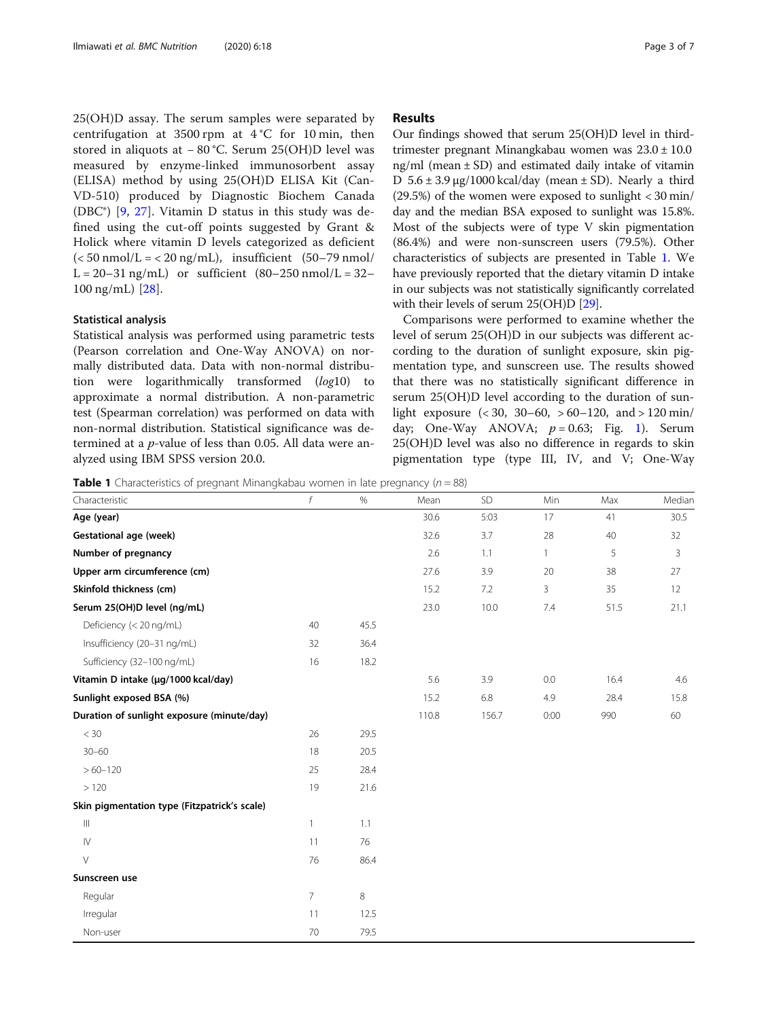25(OH)D assay. The serum samples were separated by centrifugation at 3500 rpm at 4 °C for 10 min, then stored in aliquots at − 80 °C. Serum 25(OH)D level was measured by enzyme-linked immunosorbent assay (ELISA) method by using 25(OH)D ELISA Kit (Can-VD-510) produced by Diagnostic Biochem Canada (DBC®) [\[9](#page-5-0), [27](#page-6-0)]. Vitamin D status in this study was defined using the cut-off points suggested by Grant & Holick where vitamin D levels categorized as deficient  $(< 50 \text{ nmol/L} = < 20 \text{ ng/mL}$ , insufficient  $(50-79 \text{ nmol}/$  $L = 20 - 31$  ng/mL) or sufficient  $(80 - 250$  nmol/L = 32-100 ng/mL) [[28\]](#page-6-0).

#### Statistical analysis

Statistical analysis was performed using parametric tests (Pearson correlation and One-Way ANOVA) on normally distributed data. Data with non-normal distribution were logarithmically transformed (log10) to approximate a normal distribution. A non-parametric test (Spearman correlation) was performed on data with non-normal distribution. Statistical significance was determined at a p-value of less than 0.05. All data were analyzed using IBM SPSS version 20.0.

#### Results

Our findings showed that serum 25(OH)D level in thirdtrimester pregnant Minangkabau women was 23.0 ± 10.0 ng/ml (mean  $\pm$  SD) and estimated daily intake of vitamin D  $5.6 \pm 3.9 \,\mu g/1000 \,\text{kcal/day}$  (mean  $\pm$  SD). Nearly a third (29.5%) of the women were exposed to sunlight  $<$  30 min/ day and the median BSA exposed to sunlight was 15.8%. Most of the subjects were of type V skin pigmentation (86.4%) and were non-sunscreen users (79.5%). Other characteristics of subjects are presented in Table 1. We have previously reported that the dietary vitamin D intake in our subjects was not statistically significantly correlated with their levels of serum 25(OH)D [\[29\]](#page-6-0).

Comparisons were performed to examine whether the level of serum 25(OH)D in our subjects was different according to the duration of sunlight exposure, skin pigmentation type, and sunscreen use. The results showed that there was no statistically significant difference in serum 25(OH)D level according to the duration of sunlight exposure  $\left( < 30, 30-60, > 60-120, \text{ and } > 120 \text{ min} \right)$ day; One-Way ANOVA;  $p = 0.63$ ; Fig. [1\)](#page-3-0). Serum 25(OH)D level was also no difference in regards to skin pigmentation type (type III, IV, and V; One-Way

**Table 1** Characteristics of pregnant Minangkabau women in late pregnancy ( $n = 88$ )

| Characteristic                               | f              | %    | Mean  | SD    | Min          | Max  | Mediar |
|----------------------------------------------|----------------|------|-------|-------|--------------|------|--------|
| Age (year)                                   |                |      | 30.6  | 5:03  | 17           | 41   | 30.5   |
| <b>Gestational age (week)</b>                |                |      | 32.6  | 3.7   | 28           | 40   | 32     |
| Number of pregnancy                          |                |      | 2.6   | 1.1   | $\mathbf{1}$ | 5    | 3      |
| Upper arm circumference (cm)                 |                |      | 27.6  | 3.9   | 20           | 38   | 27     |
| Skinfold thickness (cm)                      |                |      | 15.2  | 7.2   | 3            | 35   | 12     |
| Serum 25(OH)D level (ng/mL)                  |                |      | 23.0  | 10.0  | 7.4          | 51.5 | 21.1   |
| Deficiency (< 20 ng/mL)                      | 40             | 45.5 |       |       |              |      |        |
| Insufficiency (20-31 ng/mL)                  | 32             | 36.4 |       |       |              |      |        |
| Sufficiency (32-100 ng/mL)                   | 16             | 18.2 |       |       |              |      |        |
| Vitamin D intake (µg/1000 kcal/day)          |                |      | 5.6   | 3.9   | 0.0          | 16.4 | 4.6    |
| Sunlight exposed BSA (%)                     |                |      | 15.2  | 6.8   | 4.9          | 28.4 | 15.8   |
| Duration of sunlight exposure (minute/day)   |                |      | 110.8 | 156.7 | 0:00         | 990  | 60     |
| $<$ 30                                       | 26             | 29.5 |       |       |              |      |        |
| $30 - 60$                                    | 18             | 20.5 |       |       |              |      |        |
| $>60 - 120$                                  | 25             | 28.4 |       |       |              |      |        |
| >120                                         | 19             | 21.6 |       |       |              |      |        |
| Skin pigmentation type (Fitzpatrick's scale) |                |      |       |       |              |      |        |
| $\  \, \ $                                   | $\overline{1}$ | 1.1  |       |       |              |      |        |
| $\mathsf{IV}$                                | 11             | 76   |       |       |              |      |        |
| $\vee$                                       | 76             | 86.4 |       |       |              |      |        |
| Sunscreen use                                |                |      |       |       |              |      |        |
| Regular                                      | $\overline{7}$ | 8    |       |       |              |      |        |
| Irregular                                    | 11             | 12.5 |       |       |              |      |        |
| Non-user                                     | 70             | 79.5 |       |       |              |      |        |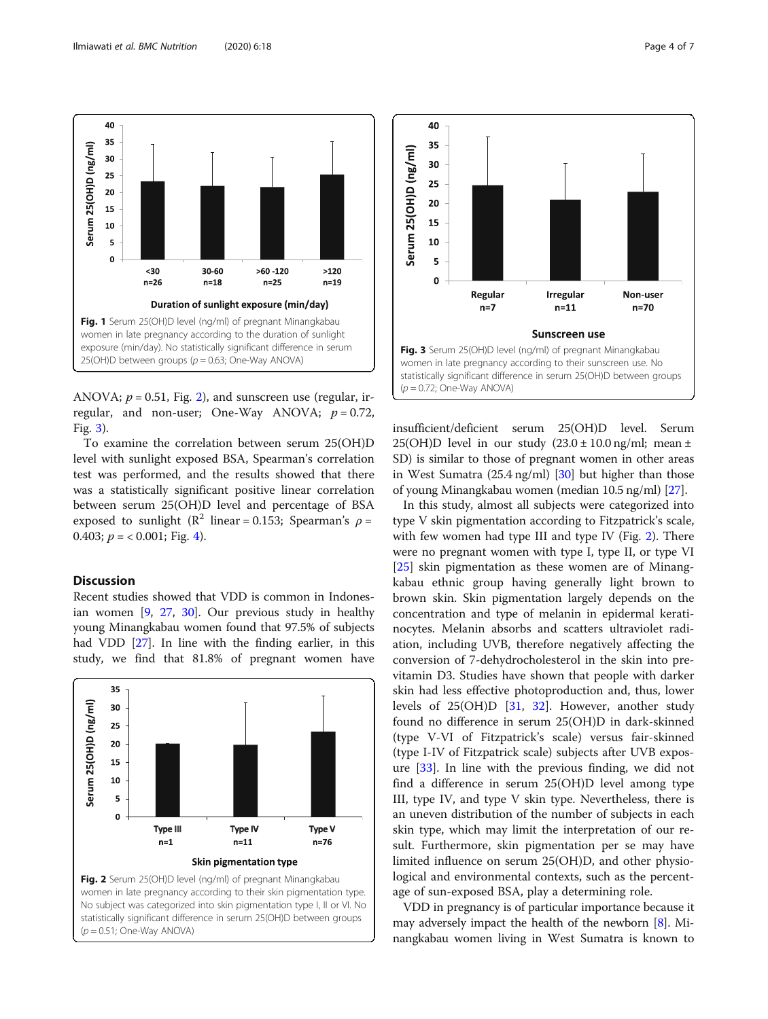<span id="page-3-0"></span>

ANOVA;  $p = 0.51$ , Fig. 2), and sunscreen use (regular, irregular, and non-user; One-Way ANOVA;  $p = 0.72$ , Fig. 3).

To examine the correlation between serum 25(OH)D level with sunlight exposed BSA, Spearman's correlation test was performed, and the results showed that there was a statistically significant positive linear correlation between serum 25(OH)D level and percentage of BSA exposed to sunlight ( $\mathbb{R}^2$  linear = 0.153; Spearman's  $\rho$  = 0.403;  $p = 0.001$ ; Fig. [4\)](#page-4-0).

# **Discussion**

Recent studies showed that VDD is common in Indonesian women [\[9,](#page-5-0) [27,](#page-6-0) [30\]](#page-6-0). Our previous study in healthy young Minangkabau women found that 97.5% of subjects had VDD [\[27\]](#page-6-0). In line with the finding earlier, in this study, we find that 81.8% of pregnant women have





insufficient/deficient serum 25(OH)D level. Serum 25(OH)D level in our study  $(23.0 \pm 10.0 \text{ ng/ml}; \text{ mean } \pm$ SD) is similar to those of pregnant women in other areas in West Sumatra (25.4 ng/ml) [\[30\]](#page-6-0) but higher than those of young Minangkabau women (median 10.5 ng/ml) [\[27](#page-6-0)].

In this study, almost all subjects were categorized into type V skin pigmentation according to Fitzpatrick's scale, with few women had type III and type IV (Fig. 2). There were no pregnant women with type I, type II, or type VI [[25\]](#page-5-0) skin pigmentation as these women are of Minangkabau ethnic group having generally light brown to brown skin. Skin pigmentation largely depends on the concentration and type of melanin in epidermal keratinocytes. Melanin absorbs and scatters ultraviolet radiation, including UVB, therefore negatively affecting the conversion of 7-dehydrocholesterol in the skin into previtamin D3. Studies have shown that people with darker skin had less effective photoproduction and, thus, lower levels of 25(OH)D [[31,](#page-6-0) [32\]](#page-6-0). However, another study found no difference in serum 25(OH)D in dark-skinned (type V-VI of Fitzpatrick's scale) versus fair-skinned (type I-IV of Fitzpatrick scale) subjects after UVB exposure [[33\]](#page-6-0). In line with the previous finding, we did not find a difference in serum 25(OH)D level among type III, type IV, and type V skin type. Nevertheless, there is an uneven distribution of the number of subjects in each skin type, which may limit the interpretation of our result. Furthermore, skin pigmentation per se may have limited influence on serum 25(OH)D, and other physiological and environmental contexts, such as the percentage of sun-exposed BSA, play a determining role.

VDD in pregnancy is of particular importance because it may adversely impact the health of the newborn [\[8\]](#page-5-0). Minangkabau women living in West Sumatra is known to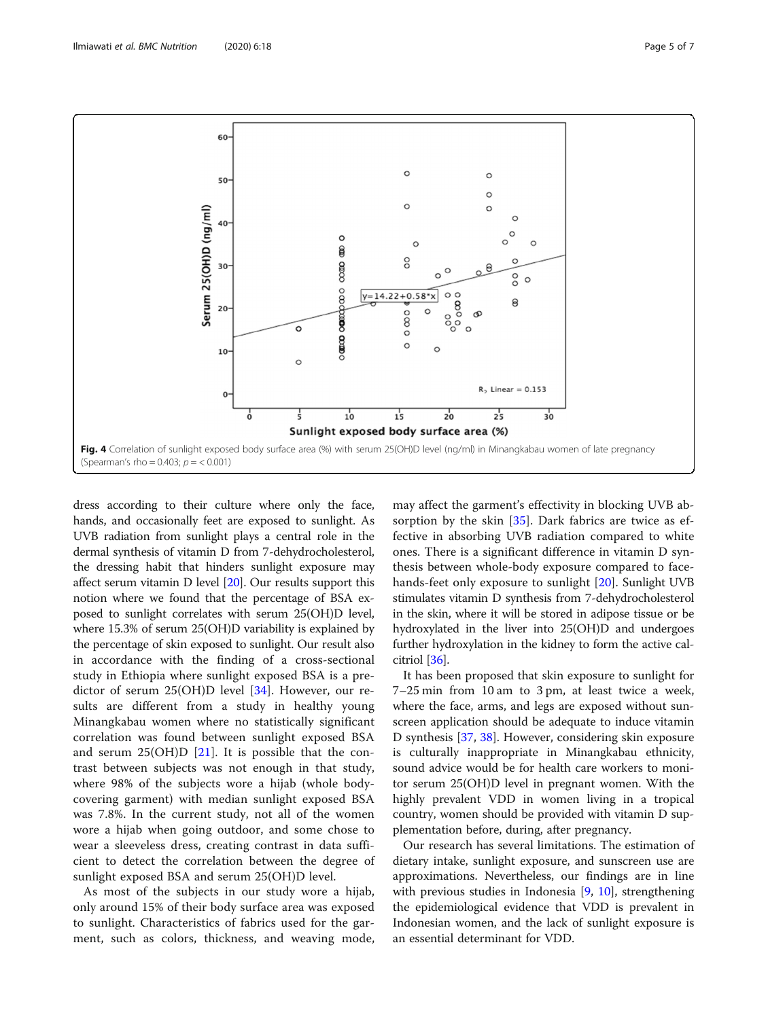<span id="page-4-0"></span>

dress according to their culture where only the face, hands, and occasionally feet are exposed to sunlight. As UVB radiation from sunlight plays a central role in the dermal synthesis of vitamin D from 7-dehydrocholesterol, the dressing habit that hinders sunlight exposure may affect serum vitamin D level [\[20\]](#page-5-0). Our results support this notion where we found that the percentage of BSA exposed to sunlight correlates with serum 25(OH)D level, where 15.3% of serum 25(OH)D variability is explained by the percentage of skin exposed to sunlight. Our result also in accordance with the finding of a cross-sectional study in Ethiopia where sunlight exposed BSA is a predictor of serum 25(OH)D level [\[34](#page-6-0)]. However, our results are different from a study in healthy young Minangkabau women where no statistically significant correlation was found between sunlight exposed BSA and serum  $25(OH)D$  [[21\]](#page-5-0). It is possible that the contrast between subjects was not enough in that study, where 98% of the subjects wore a hijab (whole bodycovering garment) with median sunlight exposed BSA was 7.8%. In the current study, not all of the women wore a hijab when going outdoor, and some chose to wear a sleeveless dress, creating contrast in data sufficient to detect the correlation between the degree of sunlight exposed BSA and serum 25(OH)D level.

As most of the subjects in our study wore a hijab, only around 15% of their body surface area was exposed to sunlight. Characteristics of fabrics used for the garment, such as colors, thickness, and weaving mode,

may affect the garment's effectivity in blocking UVB absorption by the skin [\[35](#page-6-0)]. Dark fabrics are twice as effective in absorbing UVB radiation compared to white ones. There is a significant difference in vitamin D synthesis between whole-body exposure compared to facehands-feet only exposure to sunlight [\[20](#page-5-0)]. Sunlight UVB stimulates vitamin D synthesis from 7-dehydrocholesterol in the skin, where it will be stored in adipose tissue or be hydroxylated in the liver into 25(OH)D and undergoes further hydroxylation in the kidney to form the active calcitriol [[36\]](#page-6-0).

It has been proposed that skin exposure to sunlight for 7–25 min from 10 am to 3 pm, at least twice a week, where the face, arms, and legs are exposed without sunscreen application should be adequate to induce vitamin D synthesis [[37](#page-6-0), [38](#page-6-0)]. However, considering skin exposure is culturally inappropriate in Minangkabau ethnicity, sound advice would be for health care workers to monitor serum 25(OH)D level in pregnant women. With the highly prevalent VDD in women living in a tropical country, women should be provided with vitamin D supplementation before, during, after pregnancy.

Our research has several limitations. The estimation of dietary intake, sunlight exposure, and sunscreen use are approximations. Nevertheless, our findings are in line with previous studies in Indonesia [\[9](#page-5-0), [10\]](#page-5-0), strengthening the epidemiological evidence that VDD is prevalent in Indonesian women, and the lack of sunlight exposure is an essential determinant for VDD.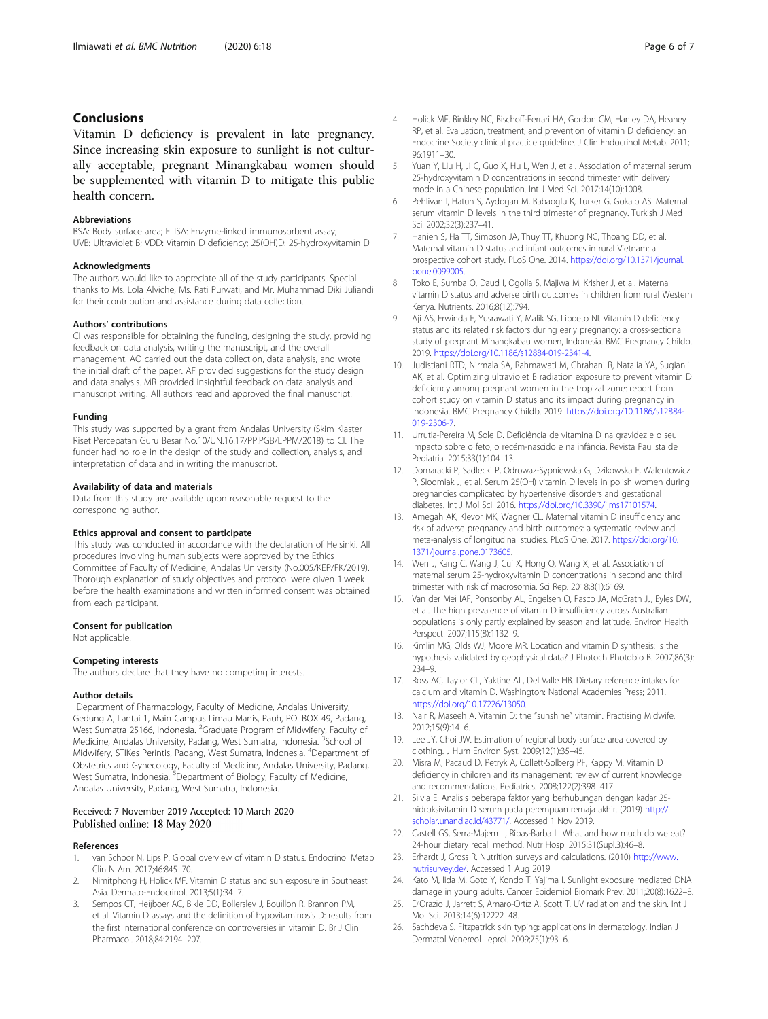# <span id="page-5-0"></span>Conclusions

Vitamin D deficiency is prevalent in late pregnancy. Since increasing skin exposure to sunlight is not culturally acceptable, pregnant Minangkabau women should be supplemented with vitamin D to mitigate this public health concern.

#### Abbreviations

BSA: Body surface area; ELISA: Enzyme-linked immunosorbent assay; UVB: Ultraviolet B; VDD: Vitamin D deficiency; 25(OH)D: 25-hydroxyvitamin D

#### Acknowledgments

The authors would like to appreciate all of the study participants. Special thanks to Ms. Lola Alviche, Ms. Rati Purwati, and Mr. Muhammad Diki Juliandi for their contribution and assistance during data collection.

#### Authors' contributions

CI was responsible for obtaining the funding, designing the study, providing feedback on data analysis, writing the manuscript, and the overall management. AO carried out the data collection, data analysis, and wrote the initial draft of the paper. AF provided suggestions for the study design and data analysis. MR provided insightful feedback on data analysis and manuscript writing. All authors read and approved the final manuscript.

#### Funding

This study was supported by a grant from Andalas University (Skim Klaster Riset Percepatan Guru Besar No.10/UN.16.17/PP.PGB/LPPM/2018) to CI. The funder had no role in the design of the study and collection, analysis, and interpretation of data and in writing the manuscript.

#### Availability of data and materials

Data from this study are available upon reasonable request to the corresponding author.

### Ethics approval and consent to participate

This study was conducted in accordance with the declaration of Helsinki. All procedures involving human subjects were approved by the Ethics Committee of Faculty of Medicine, Andalas University (No.005/KEP/FK/2019). Thorough explanation of study objectives and protocol were given 1 week before the health examinations and written informed consent was obtained from each participant.

#### Consent for publication

Not applicable.

#### Competing interests

The authors declare that they have no competing interests.

#### Author details

<sup>1</sup>Department of Pharmacology, Faculty of Medicine, Andalas University, Gedung A, Lantai 1, Main Campus Limau Manis, Pauh, PO. BOX 49, Padang, West Sumatra 25166, Indonesia. <sup>2</sup>Graduate Program of Midwifery, Faculty of Medicine, Andalas University, Padang, West Sumatra, Indonesia. <sup>3</sup>School of Midwifery, STIKes Perintis, Padang, West Sumatra, Indonesia. <sup>4</sup>Department of Obstetrics and Gynecology, Faculty of Medicine, Andalas University, Padang, West Sumatra, Indonesia. <sup>5</sup>Department of Biology, Faculty of Medicine, Andalas University, Padang, West Sumatra, Indonesia.

#### Received: 7 November 2019 Accepted: 10 March 2020 Published online: 18 May 2020

#### References

- 1. van Schoor N, Lips P. Global overview of vitamin D status. Endocrinol Metab Clin N Am. 2017;46:845–70.
- 2. Nimitphong H, Holick MF. Vitamin D status and sun exposure in Southeast Asia. Dermato-Endocrinol. 2013;5(1):34–7.
- Sempos CT, Heijboer AC, Bikle DD, Bollerslev J, Bouillon R, Brannon PM, et al. Vitamin D assays and the definition of hypovitaminosis D: results from the first international conference on controversies in vitamin D. Br J Clin Pharmacol. 2018;84:2194–207.
- 4. Holick MF, Binkley NC, Bischoff-Ferrari HA, Gordon CM, Hanley DA, Heaney RP, et al. Evaluation, treatment, and prevention of vitamin D deficiency: an Endocrine Society clinical practice guideline. J Clin Endocrinol Metab. 2011; 96:1911–30.
- Yuan Y, Liu H, Ji C, Guo X, Hu L, Wen J, et al. Association of maternal serum 25-hydroxyvitamin D concentrations in second trimester with delivery mode in a Chinese population. Int J Med Sci. 2017;14(10):1008.
- 6. Pehlivan I, Hatun S, Aydogan M, Babaoglu K, Turker G, Gokalp AS. Maternal serum vitamin D levels in the third trimester of pregnancy. Turkish J Med Sci. 2002;32(3):237–41.
- 7. Hanieh S, Ha TT, Simpson JA, Thuy TT, Khuong NC, Thoang DD, et al. Maternal vitamin D status and infant outcomes in rural Vietnam: a prospective cohort study. PLoS One. 2014. [https://doi.org/10.1371/journal.](https://doi.org/10.1371/journal.pone.0099005) [pone.0099005.](https://doi.org/10.1371/journal.pone.0099005)
- 8. Toko E, Sumba O, Daud I, Ogolla S, Majiwa M, Krisher J, et al. Maternal vitamin D status and adverse birth outcomes in children from rural Western Kenya. Nutrients. 2016;8(12):794.
- 9. Aji AS, Erwinda E, Yusrawati Y, Malik SG, Lipoeto NI. Vitamin D deficiency status and its related risk factors during early pregnancy: a cross-sectional study of pregnant Minangkabau women, Indonesia. BMC Pregnancy Childb. 2019. <https://doi.org/10.1186/s12884-019-2341-4>.
- 10. Judistiani RTD, Nirmala SA, Rahmawati M, Ghrahani R, Natalia YA, Sugianli AK, et al. Optimizing ultraviolet B radiation exposure to prevent vitamin D deficiency among pregnant women in the tropizal zone: report from cohort study on vitamin D status and its impact during pregnancy in Indonesia. BMC Pregnancy Childb. 2019. [https://doi.org/10.1186/s12884-](https://doi.org/10.1186/s12884-019-2306-7) [019-2306-7](https://doi.org/10.1186/s12884-019-2306-7).
- 11. Urrutia-Pereira M, Sole D. Deficiência de vitamina D na gravidez e o seu impacto sobre o feto, o recém-nascido e na infância. Revista Paulista de Pediatria. 2015;33(1):104–13.
- 12. Domaracki P, Sadlecki P, Odrowaz-Sypniewska G, Dzikowska E, Walentowicz P, Siodmiak J, et al. Serum 25(OH) vitamin D levels in polish women during pregnancies complicated by hypertensive disorders and gestational diabetes. Int J Mol Sci. 2016. <https://doi.org/10.3390/ijms17101574>.
- 13. Amegah AK, Klevor MK, Wagner CL. Maternal vitamin D insufficiency and risk of adverse pregnancy and birth outcomes: a systematic review and meta-analysis of longitudinal studies. PLoS One. 2017. [https://doi.org/10.](https://doi.org/10.1371/journal.pone.0173605) [1371/journal.pone.0173605](https://doi.org/10.1371/journal.pone.0173605).
- 14. Wen J, Kang C, Wang J, Cui X, Hong Q, Wang X, et al. Association of maternal serum 25-hydroxyvitamin D concentrations in second and third trimester with risk of macrosomia. Sci Rep. 2018;8(1):6169.
- 15. Van der Mei IAF, Ponsonby AL, Engelsen O, Pasco JA, McGrath JJ, Eyles DW, et al. The high prevalence of vitamin D insufficiency across Australian populations is only partly explained by season and latitude. Environ Health Perspect. 2007;115(8):1132–9.
- 16. Kimlin MG, Olds WJ, Moore MR. Location and vitamin D synthesis: is the hypothesis validated by geophysical data? J Photoch Photobio B. 2007;86(3): 234–9.
- 17. Ross AC, Taylor CL, Yaktine AL, Del Valle HB. Dietary reference intakes for calcium and vitamin D. Washington: National Academies Press; 2011. <https://doi.org/10.17226/13050>.
- 18. Nair R, Maseeh A. Vitamin D: the "sunshine" vitamin. Practising Midwife. 2012;15(9):14–6.
- 19. Lee JY, Choi JW. Estimation of regional body surface area covered by clothing. J Hum Environ Syst. 2009;12(1):35–45.
- 20. Misra M, Pacaud D, Petryk A, Collett-Solberg PF, Kappy M. Vitamin D deficiency in children and its management: review of current knowledge and recommendations. Pediatrics. 2008;122(2):398–417.
- 21. Silvia E: Analisis beberapa faktor yang berhubungan dengan kadar 25 hidroksivitamin D serum pada perempuan remaja akhir. (2019) [http://](http://scholar.unand.ac.id/43771/) [scholar.unand.ac.id/43771/](http://scholar.unand.ac.id/43771/). Accessed 1 Nov 2019.
- 22. Castell GS, Serra-Majem L, Ribas-Barba L. What and how much do we eat? 24-hour dietary recall method. Nutr Hosp. 2015;31(Supl.3):46–8.
- 23. Erhardt J, Gross R. Nutrition surveys and calculations. (2010) [http://www.](http://www.nutrisurvey.de/) [nutrisurvey.de/.](http://www.nutrisurvey.de/) Accessed 1 Aug 2019.
- 24. Kato M, Iida M, Goto Y, Kondo T, Yajima I. Sunlight exposure mediated DNA damage in young adults. Cancer Epidemiol Biomark Prev. 2011;20(8):1622–8.
- 25. D'Orazio J, Jarrett S, Amaro-Ortiz A, Scott T. UV radiation and the skin. Int J Mol Sci. 2013;14(6):12222–48.
- 26. Sachdeva S. Fitzpatrick skin typing: applications in dermatology. Indian J Dermatol Venereol Leprol. 2009;75(1):93–6.